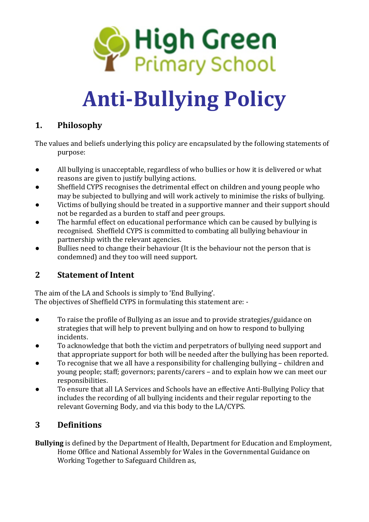

# **Anti-Bullying Policy**

# **1. Philosophy**

The values and beliefs underlying this policy are encapsulated by the following statements of purpose:

- All bullying is unacceptable, regardless of who bullies or how it is delivered or what reasons are given to justify bullying actions.
- Sheffield CYPS recognises the detrimental effect on children and young people who may be subjected to bullying and will work actively to minimise the risks of bullying.
- Victims of bullying should be treated in a supportive manner and their support should not be regarded as a burden to staff and peer groups.
- The harmful effect on educational performance which can be caused by bullying is recognised. Sheffield CYPS is committed to combating all bullying behaviour in partnership with the relevant agencies.
- Bullies need to change their behaviour (It is the behaviour not the person that is condemned) and they too will need support.

# **2 Statement of Intent**

The aim of the LA and Schools is simply to 'End Bullying'. The objectives of Sheffield CYPS in formulating this statement are: -

- To raise the profile of Bullying as an issue and to provide strategies/guidance on strategies that will help to prevent bullying and on how to respond to bullying incidents.
- To acknowledge that both the victim and perpetrators of bullying need support and that appropriate support for both will be needed after the bullying has been reported.
- To recognise that we all have a responsibility for challenging bullying children and young people; staff; governors; parents/carers – and to explain how we can meet our responsibilities.
- To ensure that all LA Services and Schools have an effective Anti-Bullying Policy that includes the recording of all bullying incidents and their regular reporting to the relevant Governing Body, and via this body to the LA/CYPS.

# **3 Definitions**

**Bullying** is defined by the Department of Health, Department for Education and Employment, Home Office and National Assembly for Wales in the Governmental Guidance on Working Together to Safeguard Children as,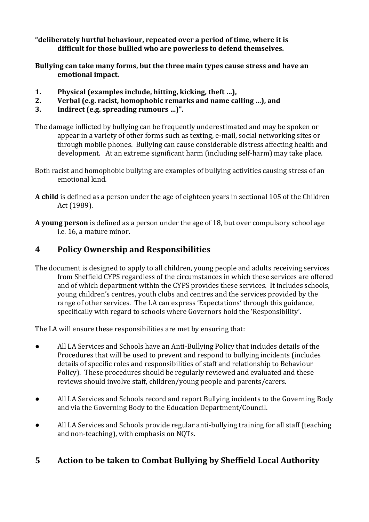**"deliberately hurtful behaviour, repeated over a period of time, where it is difficult for those bullied who are powerless to defend themselves.**

**Bullying can take many forms, but the three main types cause stress and have an emotional impact.**

- **1. Physical (examples include, hitting, kicking, theft …),**
- **2. Verbal (e.g. racist, homophobic remarks and name calling …), and**
- **3. Indirect (e.g. spreading rumours …)".**

The damage inflicted by bullying can be frequently underestimated and may be spoken or appear in a variety of other forms such as texting, e-mail, social networking sites or through mobile phones. Bullying can cause considerable distress affecting health and development. At an extreme significant harm (including self-harm) may take place.

- Both racist and homophobic bullying are examples of bullying activities causing stress of an emotional kind.
- **A child** is defined as a person under the age of eighteen years in sectional 105 of the Children Act (1989).
- **A young person** is defined as a person under the age of 18, but over compulsory school age i.e. 16, a mature minor.

### **4 Policy Ownership and Responsibilities**

The document is designed to apply to all children, young people and adults receiving services from Sheffield CYPS regardless of the circumstances in which these services are offered and of which department within the CYPS provides these services. It includes schools, young children's centres, youth clubs and centres and the services provided by the range of other services. The LA can express 'Expectations' through this guidance, specifically with regard to schools where Governors hold the 'Responsibility'.

The LA will ensure these responsibilities are met by ensuring that:

- All LA Services and Schools have an Anti-Bullying Policy that includes details of the Procedures that will be used to prevent and respond to bullying incidents (includes details of specific roles and responsibilities of staff and relationship to Behaviour Policy). These procedures should be regularly reviewed and evaluated and these reviews should involve staff, children/young people and parents/carers.
- All LA Services and Schools record and report Bullying incidents to the Governing Body and via the Governing Body to the Education Department/Council.
- All LA Services and Schools provide regular anti-bullying training for all staff (teaching and non-teaching), with emphasis on NQTs.

#### **5 Action to be taken to Combat Bullying by Sheffield Local Authority**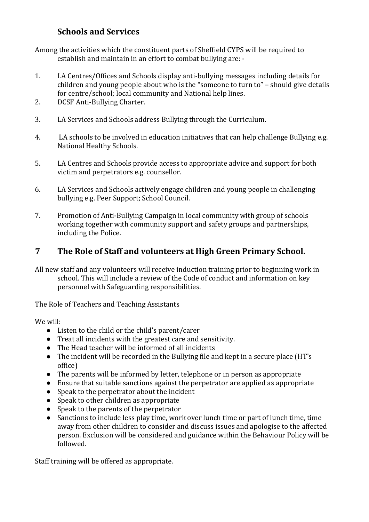## **Schools and Services**

Among the activities which the constituent parts of Sheffield CYPS will be required to establish and maintain in an effort to combat bullying are: -

- 1. LA Centres/Offices and Schools display anti-bullying messages including details for children and young people about who is the "someone to turn to" – should give details for centre/school; local community and National help lines.
- 2. DCSF Anti-Bullying Charter.
- 3. LA Services and Schools address Bullying through the Curriculum.
- 4. LA schools to be involved in education initiatives that can help challenge Bullying e.g. National Healthy Schools.
- 5. LA Centres and Schools provide access to appropriate advice and support for both victim and perpetrators e.g. counsellor.
- 6. LA Services and Schools actively engage children and young people in challenging bullying e.g. Peer Support; School Council.
- 7. Promotion of Anti-Bullying Campaign in local community with group of schools working together with community support and safety groups and partnerships, including the Police.

#### **7 The Role of Staff and volunteers at High Green Primary School.**

All new staff and any volunteers will receive induction training prior to beginning work in school. This will include a review of the Code of conduct and information on key personnel with Safeguarding responsibilities.

The Role of Teachers and Teaching Assistants

We will:

- Listen to the child or the child's parent/carer
- Treat all incidents with the greatest care and sensitivity.
- The Head teacher will be informed of all incidents
- The incident will be recorded in the Bullying file and kept in a secure place (HT's office)
- The parents will be informed by letter, telephone or in person as appropriate
- Ensure that suitable sanctions against the perpetrator are applied as appropriate
- Speak to the perpetrator about the incident
- Speak to other children as appropriate
- Speak to the parents of the perpetrator
- Sanctions to include less play time, work over lunch time or part of lunch time, time away from other children to consider and discuss issues and apologise to the affected person. Exclusion will be considered and guidance within the Behaviour Policy will be followed.

Staff training will be offered as appropriate.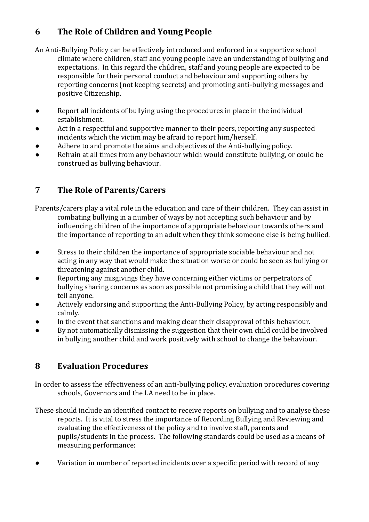# **6 The Role of Children and Young People**

An Anti-Bullying Policy can be effectively introduced and enforced in a supportive school climate where children, staff and young people have an understanding of bullying and expectations. In this regard the children, staff and young people are expected to be responsible for their personal conduct and behaviour and supporting others by reporting concerns (not keeping secrets) and promoting anti-bullying messages and positive Citizenship.

- Report all incidents of bullying using the procedures in place in the individual establishment.
- Act in a respectful and supportive manner to their peers, reporting any suspected incidents which the victim may be afraid to report him/herself.
- Adhere to and promote the aims and objectives of the Anti-bullying policy.
- Refrain at all times from any behaviour which would constitute bullying, or could be construed as bullying behaviour.

# **7 The Role of Parents/Carers**

Parents/carers play a vital role in the education and care of their children. They can assist in combating bullying in a number of ways by not accepting such behaviour and by influencing children of the importance of appropriate behaviour towards others and the importance of reporting to an adult when they think someone else is being bullied.

- Stress to their children the importance of appropriate sociable behaviour and not acting in any way that would make the situation worse or could be seen as bullying or threatening against another child.
- Reporting any misgivings they have concerning either victims or perpetrators of bullying sharing concerns as soon as possible not promising a child that they will not tell anyone.
- Actively endorsing and supporting the Anti-Bullying Policy, by acting responsibly and calmly.
- In the event that sanctions and making clear their disapproval of this behaviour.
- By not automatically dismissing the suggestion that their own child could be involved in bullying another child and work positively with school to change the behaviour.

# **8 Evaluation Procedures**

In order to assess the effectiveness of an anti-bullying policy, evaluation procedures covering schools, Governors and the LA need to be in place.

These should include an identified contact to receive reports on bullying and to analyse these reports. It is vital to stress the importance of Recording Bullying and Reviewing and evaluating the effectiveness of the policy and to involve staff, parents and pupils/students in the process. The following standards could be used as a means of measuring performance:

Variation in number of reported incidents over a specific period with record of any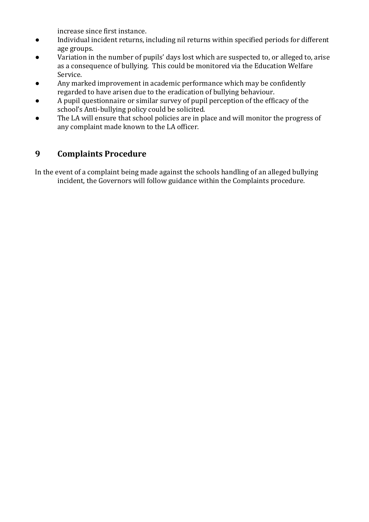increase since first instance.

- Individual incident returns, including nil returns within specified periods for different age groups.
- Variation in the number of pupils' days lost which are suspected to, or alleged to, arise as a consequence of bullying. This could be monitored via the Education Welfare Service.
- Any marked improvement in academic performance which may be confidently regarded to have arisen due to the eradication of bullying behaviour.
- A pupil questionnaire or similar survey of pupil perception of the efficacy of the school's Anti-bullying policy could be solicited.
- The LA will ensure that school policies are in place and will monitor the progress of any complaint made known to the LA officer.

# **9 Complaints Procedure**

In the event of a complaint being made against the schools handling of an alleged bullying incident, the Governors will follow guidance within the Complaints procedure.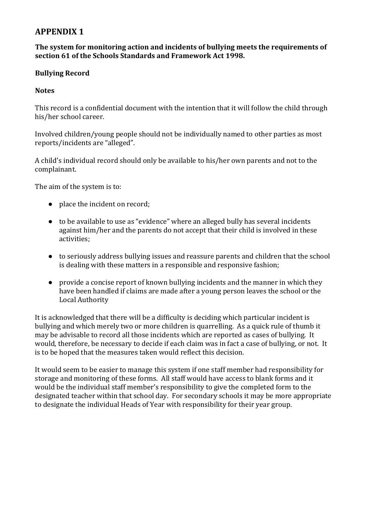#### **APPENDIX 1**

#### **The system for monitoring action and incidents of bullying meets the requirements of section 61 of the Schools Standards and Framework Act 1998.**

#### **Bullying Record**

#### **Notes**

This record is a confidential document with the intention that it will follow the child through his/her school career.

Involved children/young people should not be individually named to other parties as most reports/incidents are "alleged".

A child's individual record should only be available to his/her own parents and not to the complainant.

The aim of the system is to:

- place the incident on record;
- to be available to use as "evidence" where an alleged bully has several incidents against him/her and the parents do not accept that their child is involved in these activities;
- to seriously address bullying issues and reassure parents and children that the school is dealing with these matters in a responsible and responsive fashion;
- provide a concise report of known bullying incidents and the manner in which they have been handled if claims are made after a young person leaves the school or the Local Authority

It is acknowledged that there will be a difficulty is deciding which particular incident is bullying and which merely two or more children is quarrelling. As a quick rule of thumb it may be advisable to record all those incidents which are reported as cases of bullying. It would, therefore, be necessary to decide if each claim was in fact a case of bullying, or not. It is to be hoped that the measures taken would reflect this decision.

It would seem to be easier to manage this system if one staff member had responsibility for storage and monitoring of these forms. All staff would have access to blank forms and it would be the individual staff member's responsibility to give the completed form to the designated teacher within that school day. For secondary schools it may be more appropriate to designate the individual Heads of Year with responsibility for their year group.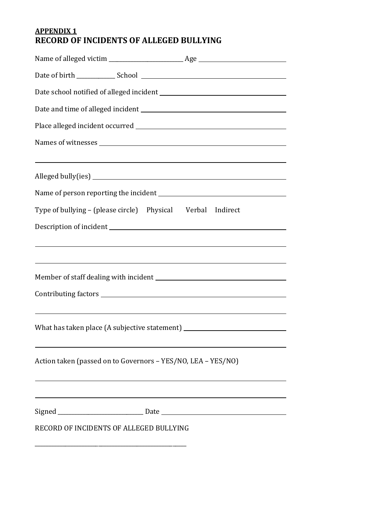#### **APPENDIX 1 RECORD OF INCIDENTS OF ALLEGED BULLYING**

| <u> 1989 - Johann Stoff, deutscher Stoffen und der Stoffen und der Stoffen und der Stoffen und der Stoffen und de</u> |  |
|-----------------------------------------------------------------------------------------------------------------------|--|
|                                                                                                                       |  |
| Type of bullying - (please circle)  Physical  Verbal  Indirect                                                        |  |
|                                                                                                                       |  |
| <u> 1989 - Johann Stoff, deutscher Stoffen und der Stoffen und der Stoffen und der Stoffen und der Stoffen und de</u> |  |
| What has taken place (A subjective statement)                                                                         |  |
| Action taken (passed on to Governors - YES/NO, LEA - YES/NO)                                                          |  |
|                                                                                                                       |  |
|                                                                                                                       |  |
| RECORD OF INCIDENTS OF ALLEGED BULLYING                                                                               |  |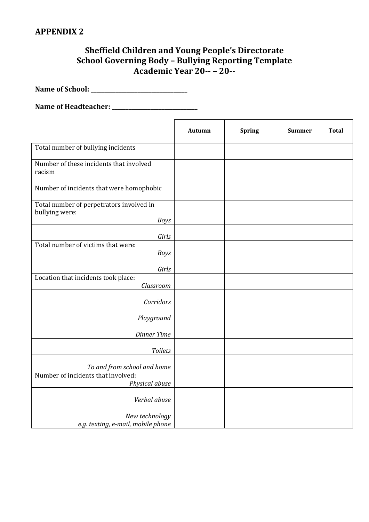### **Sheffield Children and Young People's Directorate School Governing Body – Bullying Reporting Template Academic Year 20-- – 20--**

**Name of School: \_\_\_\_\_\_\_\_\_\_\_\_\_\_\_\_\_\_\_\_\_\_\_\_\_\_\_\_\_\_\_\_\_\_\_**

**Name of Headteacher: \_\_\_\_\_\_\_\_\_\_\_\_\_\_\_\_\_\_\_\_\_\_\_\_\_\_\_\_\_\_\_**

|                                                                           | <b>Autumn</b> | <b>Spring</b> | <b>Summer</b> | <b>Total</b> |
|---------------------------------------------------------------------------|---------------|---------------|---------------|--------------|
| Total number of bullying incidents                                        |               |               |               |              |
| Number of these incidents that involved<br>racism                         |               |               |               |              |
| Number of incidents that were homophobic                                  |               |               |               |              |
| Total number of perpetrators involved in<br>bullying were:<br><b>Boys</b> |               |               |               |              |
| Girls                                                                     |               |               |               |              |
| Total number of victims that were:<br><b>Boys</b>                         |               |               |               |              |
| Girls                                                                     |               |               |               |              |
| Location that incidents took place:<br>Classroom                          |               |               |               |              |
| Corridors                                                                 |               |               |               |              |
| Playground                                                                |               |               |               |              |
| <b>Dinner Time</b>                                                        |               |               |               |              |
| <b>Toilets</b>                                                            |               |               |               |              |
| To and from school and home<br>Number of incidents that involved:         |               |               |               |              |
| Physical abuse                                                            |               |               |               |              |
| Verbal abuse                                                              |               |               |               |              |
| New technology<br>e.g. texting, e-mail, mobile phone                      |               |               |               |              |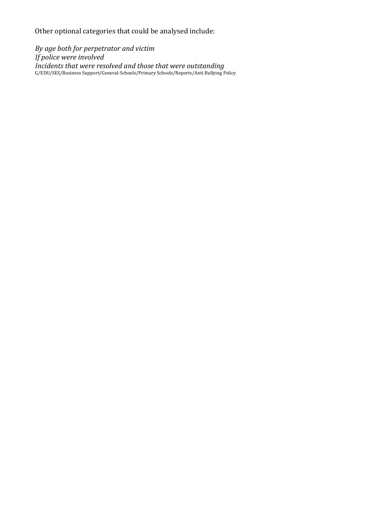Other optional categories that could be analysed include:

*By age both for perpetrator and victim If police were involved Incidents that were resolved and those that were outstanding* G/EDU/SES/Business Support/General-Schools/Primary Schools/Reports/Anti Bullying Policy